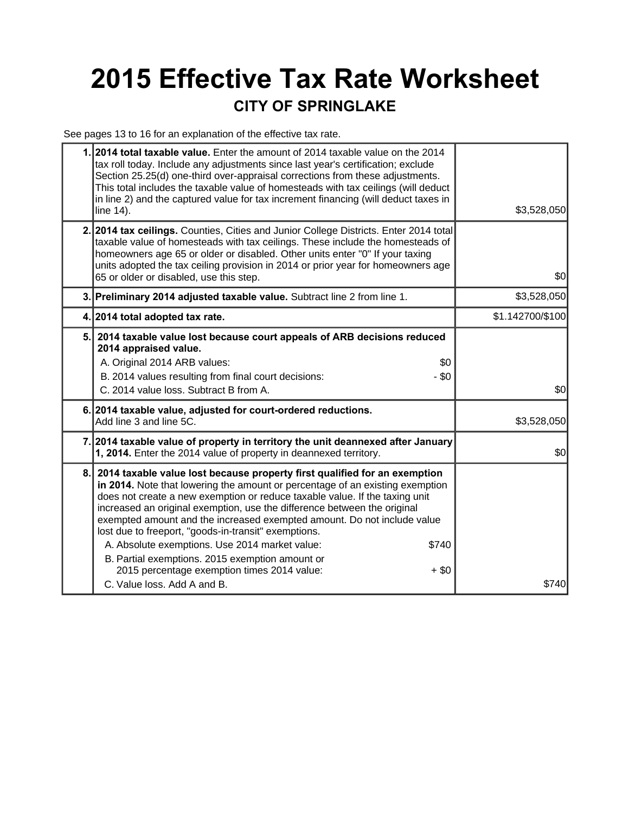## **2015 Effective Tax Rate Worksheet CITY OF SPRINGLAKE**

See pages 13 to 16 for an explanation of the effective tax rate.

|    | 2014 total taxable value. Enter the amount of 2014 taxable value on the 2014<br>tax roll today. Include any adjustments since last year's certification; exclude<br>Section 25.25(d) one-third over-appraisal corrections from these adjustments.<br>This total includes the taxable value of homesteads with tax ceilings (will deduct<br>in line 2) and the captured value for tax increment financing (will deduct taxes in<br>line 14).                                                                                                                                                                                                                     | \$3,528,050      |
|----|-----------------------------------------------------------------------------------------------------------------------------------------------------------------------------------------------------------------------------------------------------------------------------------------------------------------------------------------------------------------------------------------------------------------------------------------------------------------------------------------------------------------------------------------------------------------------------------------------------------------------------------------------------------------|------------------|
|    | 2. 2014 tax ceilings. Counties, Cities and Junior College Districts. Enter 2014 total<br>taxable value of homesteads with tax ceilings. These include the homesteads of<br>homeowners age 65 or older or disabled. Other units enter "0" If your taxing<br>units adopted the tax ceiling provision in 2014 or prior year for homeowners age<br>65 or older or disabled, use this step.                                                                                                                                                                                                                                                                          | \$0              |
|    | 3. Preliminary 2014 adjusted taxable value. Subtract line 2 from line 1.                                                                                                                                                                                                                                                                                                                                                                                                                                                                                                                                                                                        | \$3,528,050      |
|    | 4. 2014 total adopted tax rate.                                                                                                                                                                                                                                                                                                                                                                                                                                                                                                                                                                                                                                 | \$1.142700/\$100 |
| 5. | 2014 taxable value lost because court appeals of ARB decisions reduced<br>2014 appraised value.<br>A. Original 2014 ARB values:<br>\$0<br>B. 2014 values resulting from final court decisions:<br>- \$0<br>C. 2014 value loss. Subtract B from A.                                                                                                                                                                                                                                                                                                                                                                                                               | \$0              |
|    | 6. 2014 taxable value, adjusted for court-ordered reductions.<br>Add line 3 and line 5C.                                                                                                                                                                                                                                                                                                                                                                                                                                                                                                                                                                        | \$3,528,050      |
|    | 7. 2014 taxable value of property in territory the unit deannexed after January<br>1, 2014. Enter the 2014 value of property in deannexed territory.                                                                                                                                                                                                                                                                                                                                                                                                                                                                                                            | \$0              |
| 8. | 2014 taxable value lost because property first qualified for an exemption<br>in 2014. Note that lowering the amount or percentage of an existing exemption<br>does not create a new exemption or reduce taxable value. If the taxing unit<br>increased an original exemption, use the difference between the original<br>exempted amount and the increased exempted amount. Do not include value<br>lost due to freeport, "goods-in-transit" exemptions.<br>A. Absolute exemptions. Use 2014 market value:<br>\$740<br>B. Partial exemptions. 2015 exemption amount or<br>2015 percentage exemption times 2014 value:<br>$+$ \$0<br>C. Value loss, Add A and B. | \$740            |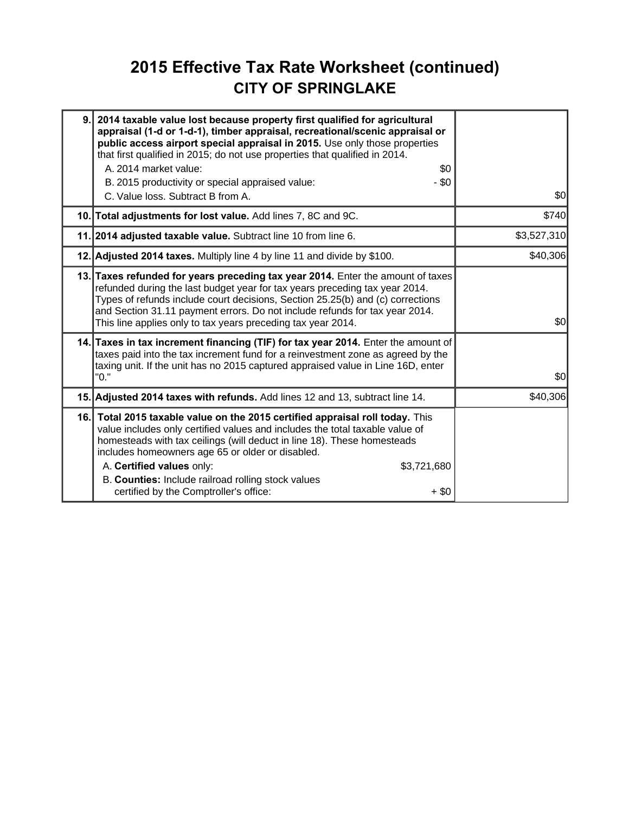### **2015 Effective Tax Rate Worksheet (continued) CITY OF SPRINGLAKE**

| 9. | 2014 taxable value lost because property first qualified for agricultural<br>appraisal (1-d or 1-d-1), timber appraisal, recreational/scenic appraisal or<br>public access airport special appraisal in 2015. Use only those properties<br>that first qualified in 2015; do not use properties that qualified in 2014.<br>A. 2014 market value:<br>\$0<br>- \$0<br>B. 2015 productivity or special appraised value:<br>C. Value loss. Subtract B from A. | \$0         |
|----|----------------------------------------------------------------------------------------------------------------------------------------------------------------------------------------------------------------------------------------------------------------------------------------------------------------------------------------------------------------------------------------------------------------------------------------------------------|-------------|
|    | 10. Total adjustments for lost value. Add lines 7, 8C and 9C.                                                                                                                                                                                                                                                                                                                                                                                            | \$740       |
|    | 11. 2014 adjusted taxable value. Subtract line 10 from line 6.                                                                                                                                                                                                                                                                                                                                                                                           | \$3,527,310 |
|    | 12. Adjusted 2014 taxes. Multiply line 4 by line 11 and divide by \$100.                                                                                                                                                                                                                                                                                                                                                                                 | \$40,306    |
|    | 13. Taxes refunded for years preceding tax year 2014. Enter the amount of taxes<br>refunded during the last budget year for tax years preceding tax year 2014.<br>Types of refunds include court decisions, Section 25.25(b) and (c) corrections<br>and Section 31.11 payment errors. Do not include refunds for tax year 2014.<br>This line applies only to tax years preceding tax year 2014.                                                          | \$0         |
|    | 14. Taxes in tax increment financing (TIF) for tax year 2014. Enter the amount of<br>taxes paid into the tax increment fund for a reinvestment zone as agreed by the<br>taxing unit. If the unit has no 2015 captured appraised value in Line 16D, enter<br>"0."                                                                                                                                                                                         | \$0         |
|    | 15. Adjusted 2014 taxes with refunds. Add lines 12 and 13, subtract line 14.                                                                                                                                                                                                                                                                                                                                                                             | \$40,306    |
|    | 16. Total 2015 taxable value on the 2015 certified appraisal roll today. This<br>value includes only certified values and includes the total taxable value of<br>homesteads with tax ceilings (will deduct in line 18). These homesteads<br>includes homeowners age 65 or older or disabled.<br>A. Certified values only:<br>\$3,721,680<br>B. Counties: Include railroad rolling stock values<br>certified by the Comptroller's office:<br>$+$ \$0      |             |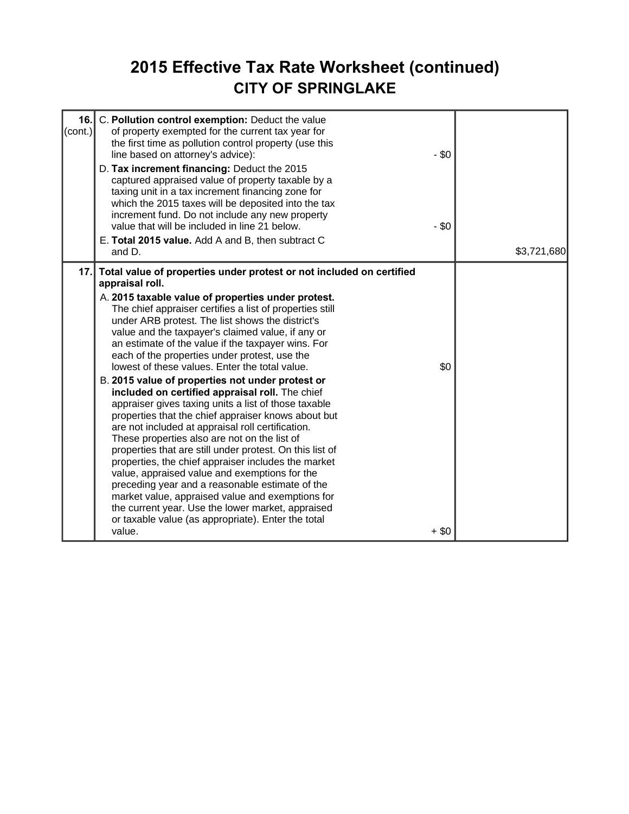### **2015 Effective Tax Rate Worksheet (continued) CITY OF SPRINGLAKE**

| 16.<br>C. Pollution control exemption: Deduct the value<br>$\text{(cont.)}$<br>of property exempted for the current tax year for<br>the first time as pollution control property (use this<br>line based on attorney's advice):<br>D. Tax increment financing: Deduct the 2015<br>captured appraised value of property taxable by a<br>taxing unit in a tax increment financing zone for<br>which the 2015 taxes will be deposited into the tax<br>increment fund. Do not include any new property<br>value that will be included in line 21 below.<br>E. Total 2015 value. Add A and B, then subtract C<br>and D.                                                                                                                                                                                                                                                                                                                                                                                                                                                                                                                                                                                         | $-$ \$0<br>$-$ \$0 | \$3,721,680 |
|------------------------------------------------------------------------------------------------------------------------------------------------------------------------------------------------------------------------------------------------------------------------------------------------------------------------------------------------------------------------------------------------------------------------------------------------------------------------------------------------------------------------------------------------------------------------------------------------------------------------------------------------------------------------------------------------------------------------------------------------------------------------------------------------------------------------------------------------------------------------------------------------------------------------------------------------------------------------------------------------------------------------------------------------------------------------------------------------------------------------------------------------------------------------------------------------------------|--------------------|-------------|
| 17. Total value of properties under protest or not included on certified<br>appraisal roll.<br>A. 2015 taxable value of properties under protest.<br>The chief appraiser certifies a list of properties still<br>under ARB protest. The list shows the district's<br>value and the taxpayer's claimed value, if any or<br>an estimate of the value if the taxpayer wins. For<br>each of the properties under protest, use the<br>lowest of these values. Enter the total value.<br>B. 2015 value of properties not under protest or<br>included on certified appraisal roll. The chief<br>appraiser gives taxing units a list of those taxable<br>properties that the chief appraiser knows about but<br>are not included at appraisal roll certification.<br>These properties also are not on the list of<br>properties that are still under protest. On this list of<br>properties, the chief appraiser includes the market<br>value, appraised value and exemptions for the<br>preceding year and a reasonable estimate of the<br>market value, appraised value and exemptions for<br>the current year. Use the lower market, appraised<br>or taxable value (as appropriate). Enter the total<br>value. | \$0<br>$+$ \$0     |             |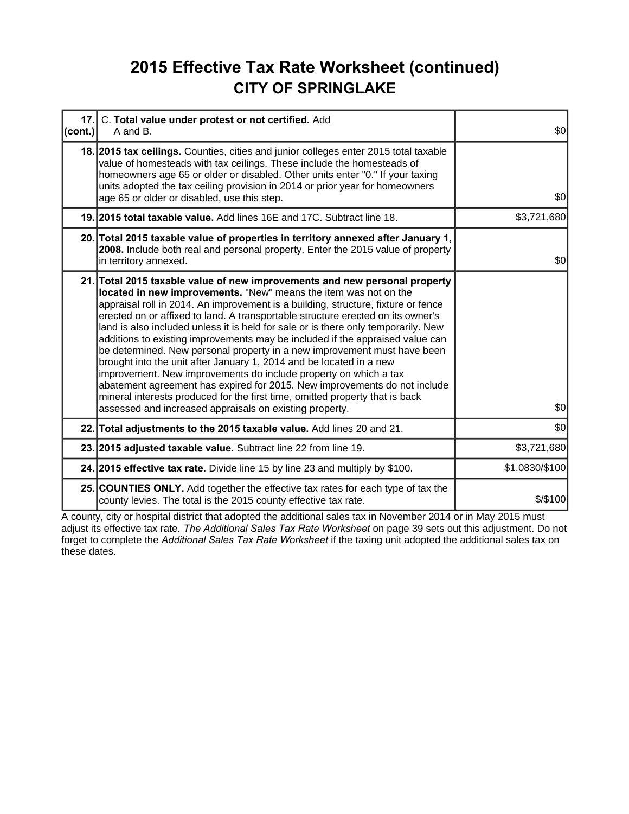### **2015 Effective Tax Rate Worksheet (continued) CITY OF SPRINGLAKE**

| 17.1<br>(cont.) | C. Total value under protest or not certified. Add<br>A and B.                                                                                                                                                                                                                                                                                                                                                                                                                                                                                                                                                                                                                                                                                                                                                                                                                                                                               | \$0            |
|-----------------|----------------------------------------------------------------------------------------------------------------------------------------------------------------------------------------------------------------------------------------------------------------------------------------------------------------------------------------------------------------------------------------------------------------------------------------------------------------------------------------------------------------------------------------------------------------------------------------------------------------------------------------------------------------------------------------------------------------------------------------------------------------------------------------------------------------------------------------------------------------------------------------------------------------------------------------------|----------------|
|                 | 18. 2015 tax ceilings. Counties, cities and junior colleges enter 2015 total taxable<br>value of homesteads with tax ceilings. These include the homesteads of<br>homeowners age 65 or older or disabled. Other units enter "0." If your taxing<br>units adopted the tax ceiling provision in 2014 or prior year for homeowners<br>age 65 or older or disabled, use this step.                                                                                                                                                                                                                                                                                                                                                                                                                                                                                                                                                               | \$0            |
|                 | 19. 2015 total taxable value. Add lines 16E and 17C. Subtract line 18.                                                                                                                                                                                                                                                                                                                                                                                                                                                                                                                                                                                                                                                                                                                                                                                                                                                                       | \$3,721,680    |
|                 | 20. Total 2015 taxable value of properties in territory annexed after January 1,<br>2008. Include both real and personal property. Enter the 2015 value of property<br>in territory annexed.                                                                                                                                                                                                                                                                                                                                                                                                                                                                                                                                                                                                                                                                                                                                                 | \$0            |
|                 | 21. Total 2015 taxable value of new improvements and new personal property<br>located in new improvements. "New" means the item was not on the<br>appraisal roll in 2014. An improvement is a building, structure, fixture or fence<br>erected on or affixed to land. A transportable structure erected on its owner's<br>land is also included unless it is held for sale or is there only temporarily. New<br>additions to existing improvements may be included if the appraised value can<br>be determined. New personal property in a new improvement must have been<br>brought into the unit after January 1, 2014 and be located in a new<br>improvement. New improvements do include property on which a tax<br>abatement agreement has expired for 2015. New improvements do not include<br>mineral interests produced for the first time, omitted property that is back<br>assessed and increased appraisals on existing property. | \$0            |
|                 | 22. Total adjustments to the 2015 taxable value. Add lines 20 and 21.                                                                                                                                                                                                                                                                                                                                                                                                                                                                                                                                                                                                                                                                                                                                                                                                                                                                        | \$0            |
|                 | 23. 2015 adjusted taxable value. Subtract line 22 from line 19.                                                                                                                                                                                                                                                                                                                                                                                                                                                                                                                                                                                                                                                                                                                                                                                                                                                                              | \$3,721,680    |
|                 | 24. 2015 effective tax rate. Divide line 15 by line 23 and multiply by \$100.                                                                                                                                                                                                                                                                                                                                                                                                                                                                                                                                                                                                                                                                                                                                                                                                                                                                | \$1.0830/\$100 |
|                 | 25. COUNTIES ONLY. Add together the effective tax rates for each type of tax the<br>county levies. The total is the 2015 county effective tax rate.                                                                                                                                                                                                                                                                                                                                                                                                                                                                                                                                                                                                                                                                                                                                                                                          | $$$ /\$100     |

A county, city or hospital district that adopted the additional sales tax in November 2014 or in May 2015 must adjust its effective tax rate. *The Additional Sales Tax Rate Worksheet* on page 39 sets out this adjustment. Do not forget to complete the *Additional Sales Tax Rate Worksheet* if the taxing unit adopted the additional sales tax on these dates.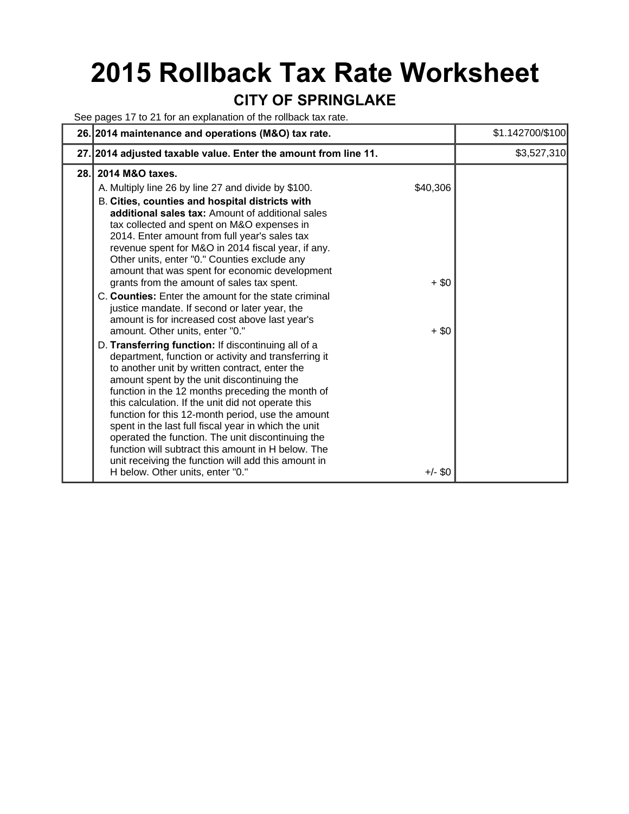# **2015 Rollback Tax Rate Worksheet**

### **CITY OF SPRINGLAKE**

See pages 17 to 21 for an explanation of the rollback tax rate.

| 26. 2014 maintenance and operations (M&O) tax rate.                                                                                                                                                                                                                                                                                                                                                                                                                                                                                                                                                                                                           |                                | \$1.142700/\$100 |
|---------------------------------------------------------------------------------------------------------------------------------------------------------------------------------------------------------------------------------------------------------------------------------------------------------------------------------------------------------------------------------------------------------------------------------------------------------------------------------------------------------------------------------------------------------------------------------------------------------------------------------------------------------------|--------------------------------|------------------|
| 27. 2014 adjusted taxable value. Enter the amount from line 11.                                                                                                                                                                                                                                                                                                                                                                                                                                                                                                                                                                                               |                                | \$3,527,310      |
| 2014 M&O taxes.<br>28.I                                                                                                                                                                                                                                                                                                                                                                                                                                                                                                                                                                                                                                       |                                |                  |
| A. Multiply line 26 by line 27 and divide by \$100.<br>B. Cities, counties and hospital districts with<br>additional sales tax: Amount of additional sales<br>tax collected and spent on M&O expenses in<br>2014. Enter amount from full year's sales tax<br>revenue spent for M&O in 2014 fiscal year, if any.<br>Other units, enter "0." Counties exclude any<br>amount that was spent for economic development<br>grants from the amount of sales tax spent.<br>C. Counties: Enter the amount for the state criminal<br>justice mandate. If second or later year, the<br>amount is for increased cost above last year's<br>amount. Other units, enter "0." | \$40,306<br>$+$ \$0<br>$+$ \$0 |                  |
| D. Transferring function: If discontinuing all of a<br>department, function or activity and transferring it<br>to another unit by written contract, enter the<br>amount spent by the unit discontinuing the<br>function in the 12 months preceding the month of<br>this calculation. If the unit did not operate this<br>function for this 12-month period, use the amount<br>spent in the last full fiscal year in which the unit<br>operated the function. The unit discontinuing the<br>function will subtract this amount in H below. The<br>unit receiving the function will add this amount in<br>H below. Other units, enter "0."                      | $+/-$ \$0                      |                  |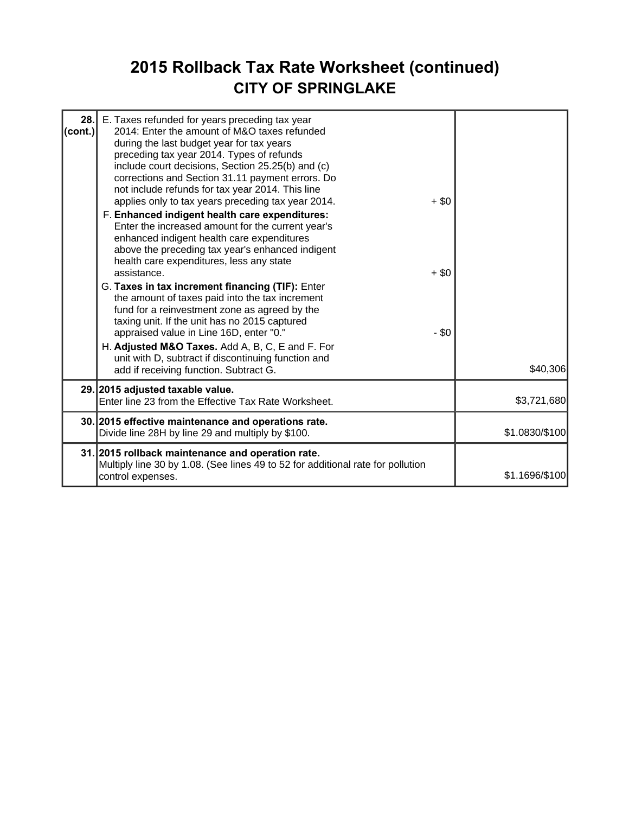### **2015 Rollback Tax Rate Worksheet (continued) CITY OF SPRINGLAKE**

| 28.<br>$ $ (cont.) | E. Taxes refunded for years preceding tax year<br>2014: Enter the amount of M&O taxes refunded<br>during the last budget year for tax years<br>preceding tax year 2014. Types of refunds<br>include court decisions, Section 25.25(b) and (c)<br>corrections and Section 31.11 payment errors. Do<br>not include refunds for tax year 2014. This line<br>applies only to tax years preceding tax year 2014.<br>F. Enhanced indigent health care expenditures:<br>Enter the increased amount for the current year's<br>enhanced indigent health care expenditures<br>above the preceding tax year's enhanced indigent<br>health care expenditures, less any state<br>assistance.<br>G. Taxes in tax increment financing (TIF): Enter<br>the amount of taxes paid into the tax increment<br>fund for a reinvestment zone as agreed by the<br>taxing unit. If the unit has no 2015 captured<br>appraised value in Line 16D, enter "0."<br>H. Adjusted M&O Taxes. Add A, B, C, E and F. For<br>unit with D, subtract if discontinuing function and<br>add if receiving function. Subtract G. | $+ $0$<br>$+$ \$0<br>- \$0 | \$40,306       |
|--------------------|------------------------------------------------------------------------------------------------------------------------------------------------------------------------------------------------------------------------------------------------------------------------------------------------------------------------------------------------------------------------------------------------------------------------------------------------------------------------------------------------------------------------------------------------------------------------------------------------------------------------------------------------------------------------------------------------------------------------------------------------------------------------------------------------------------------------------------------------------------------------------------------------------------------------------------------------------------------------------------------------------------------------------------------------------------------------------------------|----------------------------|----------------|
|                    | 29. 2015 adjusted taxable value.<br>Enter line 23 from the Effective Tax Rate Worksheet.                                                                                                                                                                                                                                                                                                                                                                                                                                                                                                                                                                                                                                                                                                                                                                                                                                                                                                                                                                                                 |                            | \$3,721,680    |
|                    | 30. 2015 effective maintenance and operations rate.<br>Divide line 28H by line 29 and multiply by \$100.                                                                                                                                                                                                                                                                                                                                                                                                                                                                                                                                                                                                                                                                                                                                                                                                                                                                                                                                                                                 |                            | \$1.0830/\$100 |
|                    | 31. 2015 rollback maintenance and operation rate.<br>Multiply line 30 by 1.08. (See lines 49 to 52 for additional rate for pollution<br>control expenses.                                                                                                                                                                                                                                                                                                                                                                                                                                                                                                                                                                                                                                                                                                                                                                                                                                                                                                                                |                            | \$1.1696/\$100 |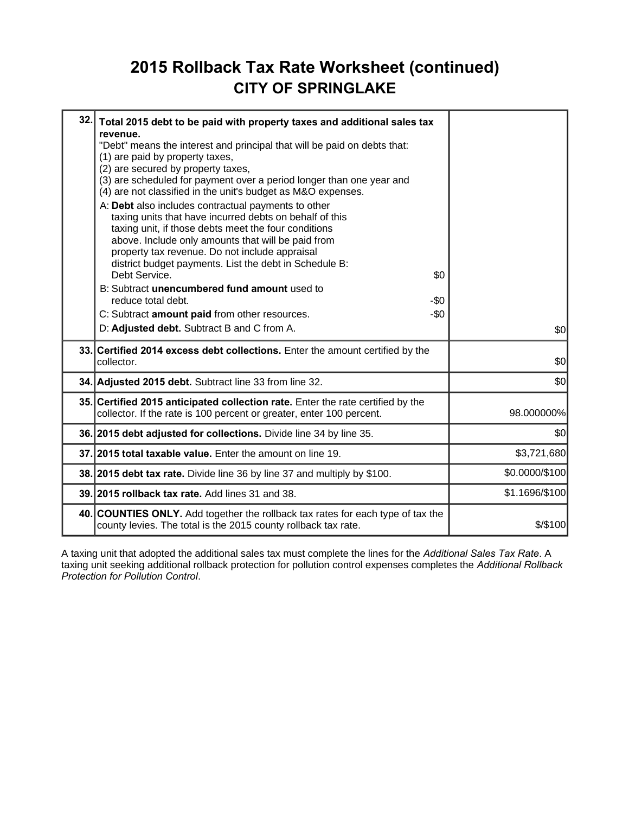### **2015 Rollback Tax Rate Worksheet (continued) CITY OF SPRINGLAKE**

| 32. | Total 2015 debt to be paid with property taxes and additional sales tax<br>revenue.<br>"Debt" means the interest and principal that will be paid on debts that:<br>(1) are paid by property taxes,<br>(2) are secured by property taxes,<br>(3) are scheduled for payment over a period longer than one year and<br>(4) are not classified in the unit's budget as M&O expenses.<br>A: Debt also includes contractual payments to other<br>taxing units that have incurred debts on behalf of this<br>taxing unit, if those debts meet the four conditions<br>above. Include only amounts that will be paid from<br>property tax revenue. Do not include appraisal<br>district budget payments. List the debt in Schedule B:<br>Debt Service.<br>B: Subtract unencumbered fund amount used to<br>reduce total debt.<br>C: Subtract amount paid from other resources.<br>D: Adjusted debt. Subtract B and C from A. | \$0<br>-\$0<br>$-50$ | \$0            |  |
|-----|--------------------------------------------------------------------------------------------------------------------------------------------------------------------------------------------------------------------------------------------------------------------------------------------------------------------------------------------------------------------------------------------------------------------------------------------------------------------------------------------------------------------------------------------------------------------------------------------------------------------------------------------------------------------------------------------------------------------------------------------------------------------------------------------------------------------------------------------------------------------------------------------------------------------|----------------------|----------------|--|
|     | 33. Certified 2014 excess debt collections. Enter the amount certified by the<br>collector.                                                                                                                                                                                                                                                                                                                                                                                                                                                                                                                                                                                                                                                                                                                                                                                                                        |                      | \$0            |  |
|     | 34. Adjusted 2015 debt. Subtract line 33 from line 32.                                                                                                                                                                                                                                                                                                                                                                                                                                                                                                                                                                                                                                                                                                                                                                                                                                                             |                      | \$0            |  |
|     | 35. Certified 2015 anticipated collection rate. Enter the rate certified by the<br>collector. If the rate is 100 percent or greater, enter 100 percent.                                                                                                                                                                                                                                                                                                                                                                                                                                                                                                                                                                                                                                                                                                                                                            |                      | 98.000000%     |  |
|     | 36. 2015 debt adjusted for collections. Divide line 34 by line 35.                                                                                                                                                                                                                                                                                                                                                                                                                                                                                                                                                                                                                                                                                                                                                                                                                                                 |                      | \$0            |  |
|     | 37. 2015 total taxable value. Enter the amount on line 19.                                                                                                                                                                                                                                                                                                                                                                                                                                                                                                                                                                                                                                                                                                                                                                                                                                                         |                      | \$3,721,680    |  |
|     | 38. 2015 debt tax rate. Divide line 36 by line 37 and multiply by \$100.                                                                                                                                                                                                                                                                                                                                                                                                                                                                                                                                                                                                                                                                                                                                                                                                                                           |                      | \$0.0000/\$100 |  |
|     | 39. 2015 rollback tax rate. Add lines 31 and 38.                                                                                                                                                                                                                                                                                                                                                                                                                                                                                                                                                                                                                                                                                                                                                                                                                                                                   |                      | \$1.1696/\$100 |  |
|     | 40. COUNTIES ONLY. Add together the rollback tax rates for each type of tax the<br>county levies. The total is the 2015 county rollback tax rate.                                                                                                                                                                                                                                                                                                                                                                                                                                                                                                                                                                                                                                                                                                                                                                  |                      | \$/\$100       |  |

A taxing unit that adopted the additional sales tax must complete the lines for the *Additional Sales Tax Rate*. A taxing unit seeking additional rollback protection for pollution control expenses completes the *Additional Rollback Protection for Pollution Control*.